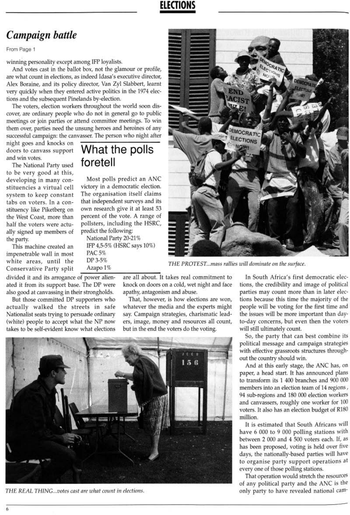### **ELECTIONS**

## Campaign battle

From Page 1

winning personality except among IFP loyalists.

And votes cast in the ballot box, not the glamour or profile, are what count in elections, as indeed Idasa's executive director, Alex Boraine, and its policy director, Van Zyl Slabbert, learnt very quickly when they entered active politics in the 1974 elections and the subsequent Pinelands by-election.

The voters, election workers throughout the world soon discover, are ordinary people who do not in general go to public meetings or join parties or attend committee meetings. To win them over, parties need the unsung heroes and heroines of any successful campaign: the canvasser. The person who night after

night goes and knocks on doors to canvass support and win votes.

The National Party used to be very good at this, developing in many constituencies a virtual cell system to keep constant tabs on voters. In a constituency like Piketberg on the West Coast, more than half the voters were actually signed up members of the party.

This machine created an impenetrable wall in most white areas, until the Conservative Party split

## What the polls foretell

Most polls predict an ANC victory in a democratic election. The organisation itself claims that independent surveys and its own research give it at least 53 percent of the vote. A range of pollsters, including the HSRC, predict the following:

National Party 20-21% IFP 4,5-5% (HSRC says 10%) PAC 5% DP 3-5% Azapo 1%

divided it and its arrogance of power alienated it from its support base. The DP were also good at canvassing in their strongholds.

But those committed DP supporters who actually walked the streets in safe Nationalist seats trying to persuade ordinary (white) people to accept what the NP now takes to be self-evident know what elections

are all about. It takes real commitment to knock on doors on a cold, wet night and face apathy, antagonism and abuse.

That, however, is how elections are won, whatever the media and the experts might say. Campaign strategies, charismatic leaders, image, money and resources all count, but in the end the voters do the voting.





THE PROTEST...mass rallies will dominate on the surface.

In South Africa's first democratic elections, the credibility and image of political parties may count more than in later elections because this time the majority of the people will be voting for the first time and the issues will be more important than dayto-day concerns, but even then the voters will still ultimately count.

So, the party that can best combine its political message and campaign strategies with effective grassroots structures throughout the country should win.

And at this early stage, the ANC has, on paper, a head start. It has announced plans to transform its 1 400 branches and 900 000 members into an election team of 14 regions, 94 sub-regions and 180 000 election workers and canvassers, roughly one worker for 100 voters. It also has an election budget of R180 million. It is estimated that South Africans will have 6 000 to 9 000 polling stations with between 2 000 and 4 500 voters each. If, as has been proposed, voting is held over five days, the nationally-based parties will have to organise party support operations at every one of those polling stations. That operation would stretch the resources of any political party and the ANC is the only party to have revealed national cam-

THE REAL THING...votes cast are what count in elections.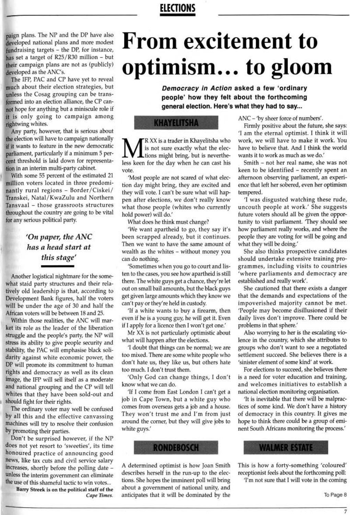### **ELECTIONS**

paign plans. The NP and the DP have also developed national plans and more modest fundraising targets - the DP, for instance, has set a target of  $R25/R30$  million – but their campaign plans are not as (publicly) developed as the ANC's.

The IFP, PAC and CP have yet to reveal much about their election strategies, but unless the Cosag grouping can be transformed into an election alliance, the CP cannot hope for anything but a miniscule role if it is only going to campaign among rightwing whites.

Any party, however, that is serious about the election will have to campaign nationally if it wants to feature in the new democratic parliament, particularly if a minimum 5 percent threshold is laid down for representation in an interim multi-party cabinet.

With some 55 percent of the estimated 21 million voters located in three predominantly rural regions - Border/Ciskei/ Transkei, Natal/KwaZulu and Northern Tansvaal - those grassroots structures throughout the country are going to be vital for any serious political party.

### 'On paper, the ANC has a head start at this stage'

Another logistical nightmare for the somewhat staid party structures and their relatively old leadership is that, according to Development Bank figures, half the voters will be under the age of 30 and half the African voters will be between 18 and 25.

Within those realities, the ANC will market its role as the leader of the liberation struggle and the people's party, the NP will stress its ability to give people security and stability, the PAC will emphasise black solidarity against white economic power, the DP will promote its commitment to human rights and democracy as well as its clean image, the IFP will sell itself as a moderate and national grouping and the CP will tell whites that they have been sold-out and should fight for their rights. The ordinary voter may well be confused by all this and the effective canvassing machines will try to resolve their confusion by promoting their parties. Don't be surprised however, if the NP does not yet resort to 'sweeties', its time honoured practice of announcing good news, like tax cuts and civil service salary increases, shortly before the polling date unless the interim government can eliminate the use of this shameful tactic to win votes... Barry Streek is on the political staff of the Cape Times.

# **From excitement to** optimism... to gloom

Democracy in Action asked a few 'ordinary people' how they felt about the forthcoming general election. Here's what they had to say...

#### **KHAYELITSHA**

"R XX is a trader in Khayelitsha who is not sure exactly what the elections might bring, but is nevertheless keen for the day when he can cast his vote.

'Most people are not scared of what election day might bring, they are excited and they will vote. I can't be sure what will happen after elections, we don't really know what those people (whites who currently hold power) will do.'

What does he think must change?

'We want apartheid to go, they say it's been scrapped already, but it continues. Then we want to have the same amount of wealth as the whites - without money you can do nothing.

'Sometimes when you go to court and listen to the cases, you see how apartheid is still there. The white guys get a chance, they're let out on small bail amounts, but the black guys get given large amounts which they know we can't pay or they're held in custody.

'If a white wants to buy a firearm, then even if he is a young guy, he will get it. Even if I apply for a licence then I won't get one.'

Mr XX is not particularly optimistic about what will happen after the elections.

I doubt that things can be normal; we are too mixed. There are some white people who don't hate us, they like us, but others hate too much. I don't trust them.

'Only God can change things, I don't know what we can do.

'If I come from East London I can't get a

ANC – 'by sheer force of numbers'.

Firmly positive about the future, she says: 'I am the eternal optimist. I think it will work, we will have to make it work. You have to believe that. And I think the world wants it to work as much as we do.'

Smith - not her real name, she was not keen to be identified - recently spent an afternoon observing parliament, an experience that left her sobered, even her optimism tempered.

'I was disgusted watching these rude, uncouth people at work.' She suggests future voters should all be given the opportunity to visit parliament. 'They should see how parliament really works, and where the people they are voting for will be going and what they will be doing.'

She also thinks prospective candidates should undertake extensive training programmes, including visits to countries 'where parliaments and democracy are established and really work'.

She cautioned that there exists a danger that the demands and expectations of the impoverished majority cannot be met. 'People may become disillusioned if their daily lives don't improve. There could be problems in that sphere.'

Also worrying to her is the escalating violence in the country, which she attributes to groups who don't want to see a negotiated settlement succeed. She believes there is a 'sinister element of some kind' at work.

For elections to succeed, she believes there is a need for voter education and training, and welcomes initiatives to establish a national election monitoring organisation. 'It is inevitable that there will be malpractices of some kind. We don't have a history of democracy in this country. It gives me hope to think there could be a group of eminent South Africans monitoring the process.'

job in Cape Town, but a white guy who comes from overseas gets a job and a house. They won't trust me and I'm from just around the corner, but they will give jobs to white guys.'



A determined optimist is how Joan Smith describes herself in the run-up to the elections. She hopes the imminent poll will bring about a government of national unity, and anticipates that it will be dominated by the



This is how a forty-something 'coloured' receptionist feels about the forthcoming poll: 'I'm not sure that I will vote in the coming

To Page 8

 $\overline{7}$